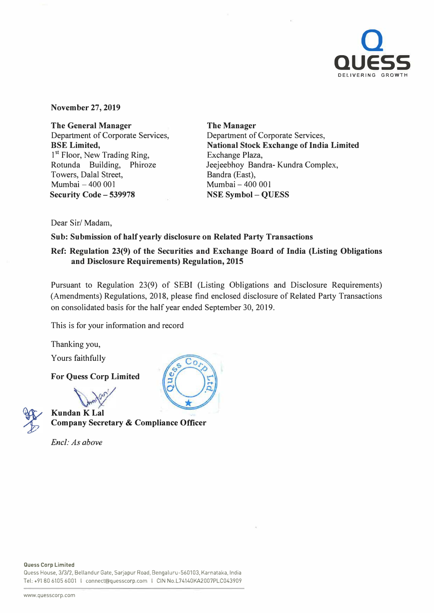

**November 27, 2019** 

**The General Manager**  Department of Corporate Services, **BSE Limited,**  1<sup>st</sup> Floor, New Trading Ring, Rotunda Building, Phiroze Towers, Dalal Street, Mumbai - 400 001 **Security Code - 539978** 

**The Manager**  Department of Corporate Services, **National Stock Exchange of India Limited**  Exchange Plaza, Jeejeebhoy Sandra- Kundra Complex, Bandra (East), Mumbai - 400 001 **NSE Symbol - QUESS** 

Dear Sir/ Madam,

**Sub: Submission of half yearly disclosure on Related Party Transactions** 

# **Ref: Regulation 23(9) of the Securities and Exchange Board of India (Listing Obligations and Disclosure Requirements) Regulation, 2015**

Pursuant to Regulation 23(9) of SEBI (Listing Obligations and Disclosure Requirements) (Amendments) Regulations, 2018, please find enclosed disclosure of Related Party Transactions on consolidated basis for the half year ended September 30, 2019.

This is for your information and record

Thanking you,

Yours faithfully

**For Quess Corp Limited** 

my (2012) *.(ff'.* 



**Kundan K Lal Company Secretary & Compliance Officer** 

*Encl: As above* 



Quess House, 3/3/2, Bellandur Gate, Sarjapur Road, Bengaluru-560103, Karnataka, India Tel: +91 80 6105 6001 I connect@quesscorp.com I CIN No.L74140KA2007PLC043909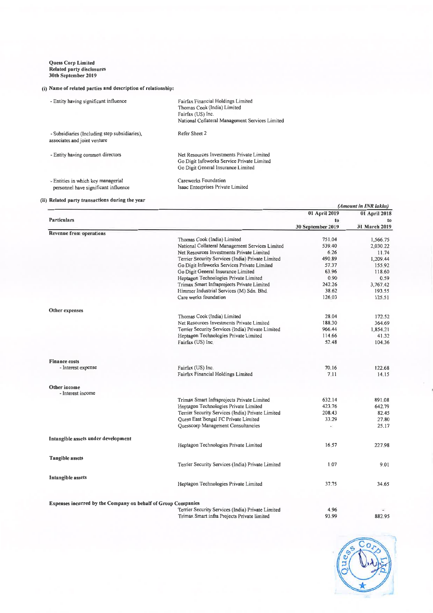#### Quess Corp Limit Related party disclosu 30th September 201

### (i) Name of related parties and description of relationship:

| - Entity having significant influence                                         | Fairfax Financial Holdings Limited<br>Thomas Cook (India) Limited<br>Fairfax (US) Inc.<br>National Collateral Management Services Limited |
|-------------------------------------------------------------------------------|-------------------------------------------------------------------------------------------------------------------------------------------|
| - Subsidiaries (Including step subsidiaries),<br>associates and joint venture | Refer Sheet 2                                                                                                                             |
| - Entity having common directors                                              | Net Resources Investments Private Limited<br>Go Digit Infoworks Service Private Limited<br>Go Digit General Insurance Limited             |
| - Entities in which key managerial<br>personnel have significant influence    | Careworks Foundation<br>Isaac Enterprises Private Limited                                                                                 |

### (ii) Related party transactions during the year

|                                                               |                                                   | (Amount in INR lakhs)   |                     |
|---------------------------------------------------------------|---------------------------------------------------|-------------------------|---------------------|
|                                                               |                                                   | 01 April 2019           | 01 April 2018       |
| <b>Particulars</b>                                            |                                                   | to<br>30 September 2019 | to<br>31 March 2019 |
| <b>Revenue from operations</b>                                |                                                   |                         |                     |
|                                                               | Thomas Cook (India) Limited                       | 751.04                  | 1,566.75            |
|                                                               | National Collateral Management Services Limited   | 539.40                  | 2,030.22            |
|                                                               | Net Resources Investments Private Limited         | 6.26                    | 11.74               |
|                                                               | Terrier Security Services (India) Private Limited | 490.89                  | 1,209.44            |
|                                                               | Go Digit Infoworks Services Private Limited       | 57.37                   | 155,92              |
|                                                               | Go Digit General Insurance Limited                | 63.96                   | 118.60              |
|                                                               | Heptagon Technologies Private Limited             | 0.90                    | 0.59                |
|                                                               | Trimax Smart Infraprojects Private Limited        | 242.26                  | 3,767.42            |
|                                                               | Himmer Industrial Services (M) Sdn. Bhd.          | 38.62                   | 193.55              |
|                                                               | Care works foundation                             | 126.03                  | 125.51              |
|                                                               |                                                   |                         |                     |
| Other expenses                                                |                                                   |                         |                     |
|                                                               | Thomas Cook (India) Limited                       | 28.04                   | 172.52              |
|                                                               | Net Resources Investments Private Limited         | 188.30                  | 364.69              |
|                                                               | Terrier Security Services (India) Private Limited | 966.44                  | 1,854.21            |
|                                                               | Heptagon Technologies Private Limited             | 114.66                  | 41.32               |
|                                                               | Fairfax (US) Inc.                                 | 52.48                   | 104.36              |
| <b>Finance costs</b>                                          |                                                   |                         |                     |
| - Interest expense                                            | Fairfax (US) Inc.                                 | 70.16                   | 122.68              |
|                                                               | Fairfax Financial Holdings Limited                | 7.11                    | 14.15               |
| Other income<br>- Interest income                             |                                                   |                         |                     |
|                                                               | Trimax Smart Infraprojects Private Limited        | 632.14                  | 891.08              |
|                                                               | Heptagon Technologies Private Limited             | 423.76                  | 642.79              |
|                                                               | Terrier Security Services (India) Private Limited | 208.43                  | 82.45               |
|                                                               | Quess East Bengal FC Private Limited              | 33.29                   | 27.80               |
|                                                               | Quesscorp Management Consultancies                | ×,                      | 25.17               |
| Intangible assets under development                           |                                                   |                         |                     |
|                                                               | Heptagon Technologies Private Limited             | 16.57                   | 227.98              |
| <b>Tangible assets</b>                                        |                                                   |                         |                     |
|                                                               | Terrier Security Services (India) Private Limited | 1,07                    | 9.01                |
| Intangible assets                                             |                                                   |                         |                     |
|                                                               | Heptagon Technologies Private Limited             | 37.75                   | 34.65               |
|                                                               |                                                   |                         |                     |
| Expenses incurred by the Company on behalf of Group Companies | Terrier Security Services (India) Private Limited | 4 9 6                   |                     |
|                                                               | Trimax Smart infra Projects Private limited       | 93.99                   | 882.95              |

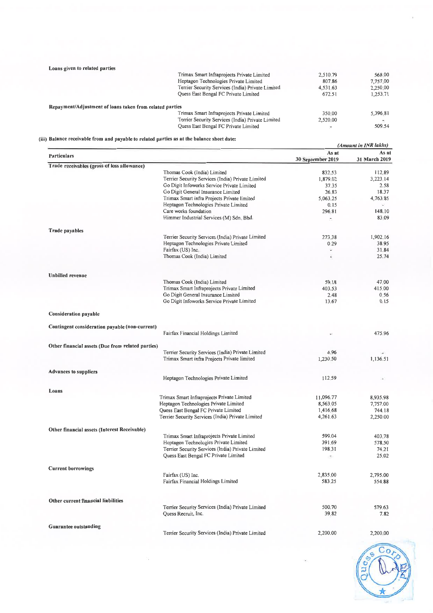| Loans given to related parties                           |                                                   |           |          |
|----------------------------------------------------------|---------------------------------------------------|-----------|----------|
|                                                          | Trimax Smart Infraprojects Private Limited        | 2,510.79  | 568.00   |
|                                                          | Heptagon Technologies Private Limited             | 807.86    | 7.757.00 |
|                                                          | Terrier Security Services (India) Private Limited | 4,531.63  | 2,250.00 |
|                                                          | Quess East Bengal FC Private Limited              | 672.51    | 1.253.71 |
| Repayment/Adjustment of loans taken from related parties |                                                   |           |          |
|                                                          | Trimax Smart Infraprojects Private Limited        | 350.00    | 5,396.81 |
|                                                          | Terrier Security Services (India) Private Limited | 2,520.00  |          |
|                                                          | Quess East Bengal FC Private Limited              | $\bar{z}$ | 509.54   |

## (iii) Balance receivable from and payable to related parties as at the balance sheet date:

|                                                   |                                                                                                  | (Amount in INR lakhs)      |                        |
|---------------------------------------------------|--------------------------------------------------------------------------------------------------|----------------------------|------------------------|
| <b>Particulars</b>                                |                                                                                                  | As at<br>30 September 2019 | As at<br>31 March 2019 |
| Trade receivables (gross of loss allowance)       |                                                                                                  |                            |                        |
|                                                   | Thomas Cook (India) Limited                                                                      | 832.53                     | 112.89                 |
|                                                   | Terrier Security Services (India) Private Limited                                                | 1,879.02                   | 3,223.14               |
|                                                   | Go Digit Infoworks Service Private Limited                                                       | 37.35                      | 2.58                   |
|                                                   | Go Digit General Insurance Limited                                                               | 26.83                      | 18.37                  |
|                                                   | Trimax Smart infra Projects Private limited                                                      | 5,063,25                   | 4,763.85               |
|                                                   | Heptagon Technologies Private Limited                                                            | 0.15                       |                        |
|                                                   | Care works foundation                                                                            | 296.81                     | 148.10                 |
|                                                   | Himmer Industrial Services (M) Sdn. Bhd.                                                         | ۰.                         | 83 09                  |
| <b>Trade payables</b>                             |                                                                                                  |                            |                        |
|                                                   | Terrier Security Services (India) Private Limited                                                | 273.38                     | 1,902.16               |
|                                                   | Heptagon Technologies Private Limited                                                            | 0.29                       | 38.95                  |
|                                                   | Fairfax (US) Inc.                                                                                | Ś.                         | 31.84                  |
|                                                   | Thomas Cook (India) Limited                                                                      | Ξ                          | 25.74                  |
|                                                   |                                                                                                  |                            |                        |
| <b>Unbilled</b> revenue                           | Thomas Cook (India) Limited                                                                      | 59.18                      | 47,00                  |
|                                                   | Trimax Smart Infraprojects Private Limited                                                       | 403.53                     | 415,00                 |
|                                                   | Go Digit General Insurance Limited                                                               | 2.48                       | 0.56                   |
|                                                   | Go Digit Infoworks Service Private Limited                                                       | 13.67                      | 0.15                   |
| <b>Consideration payable</b>                      |                                                                                                  |                            |                        |
| Contingent consideration payable (non-current)    |                                                                                                  |                            |                        |
|                                                   | Fairfax Financial Holdings Limited                                                               |                            | 475.96                 |
| Other financial assets (Due from related parties) |                                                                                                  |                            |                        |
|                                                   | Terrier Security Services (India) Private Limited<br>Trimax Smart infra Projects Private limited | 4.96<br>1,230,50           | 1,136.51               |
| <b>Advances to suppliers</b>                      |                                                                                                  |                            |                        |
|                                                   | Heptagon Technologies Private Limited                                                            | 112,59                     | $\blacksquare$         |
| Loans                                             |                                                                                                  |                            |                        |
|                                                   | Trimax Smart Infraprojects Private Limited                                                       | 11,096.77                  | 8,935.98               |
|                                                   | Heptagon Technologies Private Limited                                                            | 8,563.05                   | 7,757.00               |
|                                                   | Quess East Bengal FC Private Limited                                                             | 1,416,68                   | 744.18                 |
|                                                   | Terrier Security Services (India) Private Limited                                                | 4,261.63                   | 2,250.00               |
| Other financial assets (Interest Receivable)      |                                                                                                  |                            |                        |
|                                                   | Trimax Smart Infraprojects Private Limited                                                       | 599.04                     | 403.78                 |
|                                                   | Heptagon Technologies Private Limited                                                            | 391.69                     | 578.50                 |
|                                                   | Terrier Security Services (India) Private Limited                                                | 198,31                     | 74.21                  |
|                                                   | Quess East Bengal FC Private Limited                                                             | ÷                          | 25.02                  |
| <b>Current borrowings</b>                         |                                                                                                  |                            |                        |
|                                                   | Fairfax (US) Inc.                                                                                | 2,835,00                   | 2,795.00               |
|                                                   | Fairfax Financial Holdings Limited                                                               | 583,25                     | 554.88                 |
| Other current financial liabilities               |                                                                                                  |                            |                        |
|                                                   | Terrier Security Services (India) Private Limited                                                | 500.70                     | 579.63                 |
|                                                   | Quess Recruit, Inc.                                                                              | 39.82                      | 7.82                   |
| <b>Guarantee outstanding</b>                      |                                                                                                  |                            |                        |
|                                                   | Terrier Security Services (India) Private Limited                                                | 2,200.00                   | 2,200.00               |

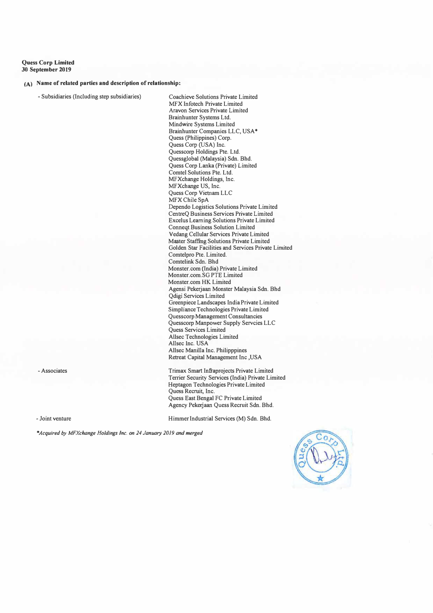**Quess Corp Limited 30 September 2019** 

#### **(A) Name of related parties and description of relationship:**

- Subsidiaries (Including step subsidiaries)

Coachieve Solutions Private Limited MFX lnfotech Private Limited Aravon Services Private Limited Brainhunter Systems Ltd. Mindwire Systems Limited Brainhunter Companies LLC, USA• Quess (Philippines) Corp. Quess Corp (USA) Inc. Quesscorp Holdings Pte. Ltd. Quessglobal (Malaysia) Sdn. Bhd. Quess Corp Lanka (Private) Limited Comtel Solutions Pte. Ltd. MFXchange Holdings, Inc. MFXchange US, Inc. Quess Corp Vietnam LLC MFX Chile SpA Dependo Logistics Solutions Private Limited CentreQ Business Services Private Limited Excelus Leaming Solutions Private Limited Conneqt Business Solution Limited Vedang Cellular Services Private Limited Master Staffmg Solutions Private Limited Golden Star Facilities and Services Private Limited Comtelpro Pte. Limited. Comtelink Sdn. Bhd Monster.com (India) Private Limited Monster.com.SG PTE Limited Monster.com HK Limited Agensi Pekerjaan Monster Malaysia Sdn. Bhd Qdigi Services Limited Greenpiece Landscapes India Private Limited Simpliance Technologies Private Limited Quesscorp Management Consultancies Quesscorp Manpower Supply Servcies LLC Quess Services Limited Allsec Technologies Limited Allsec Inc. USA Allsec Manilla Inc. Philipppines Retreat Capital Management Inc ,USA

Trimax Smart lnfraprojects Private Limited Terrier Security Services (India) Private Limited Heptagon Technologies Private Limited Quess Recruit, Inc. Quess East Bengal FC Private Limited Agency Pekerjaan Quess Recruit Sdn. Bhd.

- Joint venture

- Associates

Himmer Industrial Services (M) Sdn. Bhd.

*\*Acquired by MFXchange Holdings Inc. on 24 January 2019 and merged*